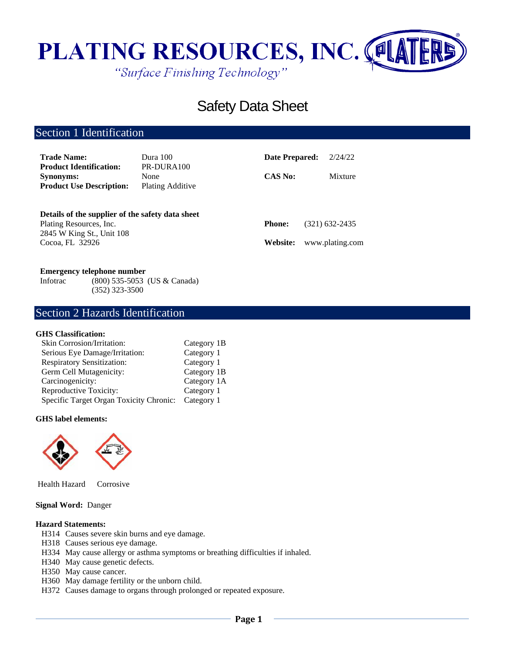

# Safety Data Sheet

# Section 1 Identification

| <b>Trade Name:</b>                                                                                       | Dura 100                               | Date Prepared: | 2/24/22          |
|----------------------------------------------------------------------------------------------------------|----------------------------------------|----------------|------------------|
| <b>Product Identification:</b><br><b>Synonyms:</b><br><b>Product Use Description:</b>                    | PR-DURA100<br>None<br>Plating Additive | <b>CAS No:</b> | Mixture          |
| Details of the supplier of the safety data sheet<br>Plating Resources, Inc.<br>2845 W King St., Unit 108 |                                        | <b>Phone:</b>  | $(321)$ 632-2435 |
| Cocoa, FL 32926                                                                                          |                                        | Website:       | www.plating.com  |

## **Emergency telephone number**

Infotrac (800) 535-5053 (US & Canada) (352) 323-3500

## Section 2 Hazards Identification

## **GHS Classification:**

| Skin Corrosion/Irritation:              | Category 1B |
|-----------------------------------------|-------------|
| Serious Eye Damage/Irritation:          | Category 1  |
| <b>Respiratory Sensitization:</b>       | Category 1  |
| Germ Cell Mutagenicity:                 | Category 1B |
| Carcinogenicity:                        | Category 1A |
| Reproductive Toxicity:                  | Category 1  |
| Specific Target Organ Toxicity Chronic: | Category 1  |

#### **GHS label elements:**



Health Hazard Corrosive

## **Signal Word:** Danger

#### **Hazard Statements:**

- H314 Causes severe skin burns and eye damage.
- H318 Causes serious eye damage.
- H334 May cause allergy or asthma symptoms or breathing difficulties if inhaled.
- H340 May cause genetic defects.
- H350 May cause cancer.
- H360 May damage fertility or the unborn child.
- H372 Causes damage to organs through prolonged or repeated exposure.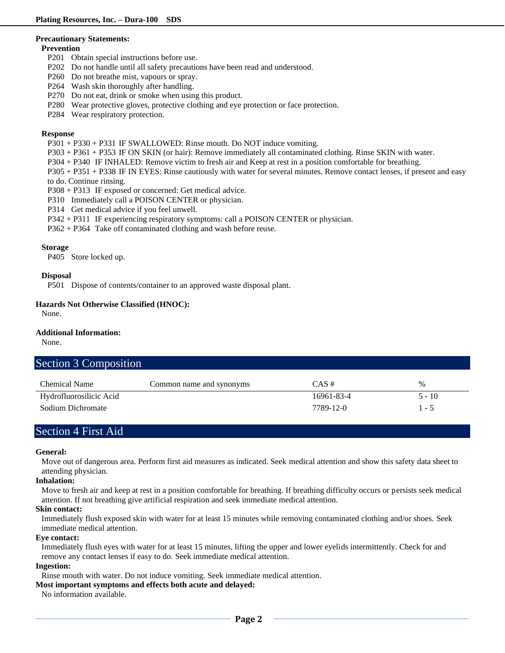#### **Precautionary Statements:**

#### **Prevention**

- P201 Obtain special instructions before use.
- P202 Do not handle until all safety precautions have been read and understood.
- P260 Do not breathe mist, vapours or spray.
- P264 Wash skin thoroughly after handling.
- P270 Do not eat, drink or smoke when using this product.
- P280 Wear protective gloves, protective clothing and eye protection or face protection.
- P284 Wear respiratory protection.

## **Response**

- P301 + P330 + P331 IF SWALLOWED: Rinse mouth. Do NOT induce vomiting.
- P303 + P361 + P353 IF ON SKIN (or hair): Remove immediately all contaminated clothing. Rinse SKIN with water.
- P304 + P340 IF INHALED: Remove victim to fresh air and Keep at rest in a position comfortable for breathing.
- P305 + P351 + P338 IF IN EYES: Rinse cautiously with water for several minutes. Remove contact lenses, if present and easy to do. Continue rinsing.
- P308 + P313 IF exposed or concerned: Get medical advice.
- P310 Immediately call a POISON CENTER or physician.
- P314 Get medical advice if you feel unwell.
- P342 + P311 IF experiencing respiratory symptoms: call a POISON CENTER or physician.
- P362 + P364 Take off contaminated clothing and wash before reuse.

## **Storage**

P405 Store locked up.

## **Disposal**

P501 Dispose of contents/container to an approved waste disposal plant.

## **Hazards Not Otherwise Classified (HNOC):**

None.

#### **Additional Information:**

None.

| Section 3 Composition   |                          |            |          |
|-------------------------|--------------------------|------------|----------|
| <b>Chemical Name</b>    | Common name and synonyms | $CAS \#$   | $\%$     |
| Hydrofluorosilicic Acid |                          | 16961-83-4 | $5 - 10$ |
| Sodium Dichromate       |                          | 7789-12-0  | $1 - 5$  |

# Section 4 First Aid

#### **General:**

Move out of dangerous area. Perform first aid measures as indicated. Seek medical attention and show this safety data sheet to attending physician.

## **Inhalation:**

Move to fresh air and keep at rest in a position comfortable for breathing. If breathing difficulty occurs or persists seek medical attention. If not breathing give artificial respiration and seek immediate medical attention.

#### **Skin contact:**

Immediately flush exposed skin with water for at least 15 minutes while removing contaminated clothing and/or shoes. Seek immediate medical attention.

#### **Eye contact:**

Immediately flush eyes with water for at least 15 minutes, lifting the upper and lower eyelids intermittently. Check for and remove any contact lenses if easy to do. Seek immediate medical attention.

#### **Ingestion:**

Rinse mouth with water. Do not induce vomiting. Seek immediate medical attention.

## **Most important symptoms and effects both acute and delayed:**

No information available.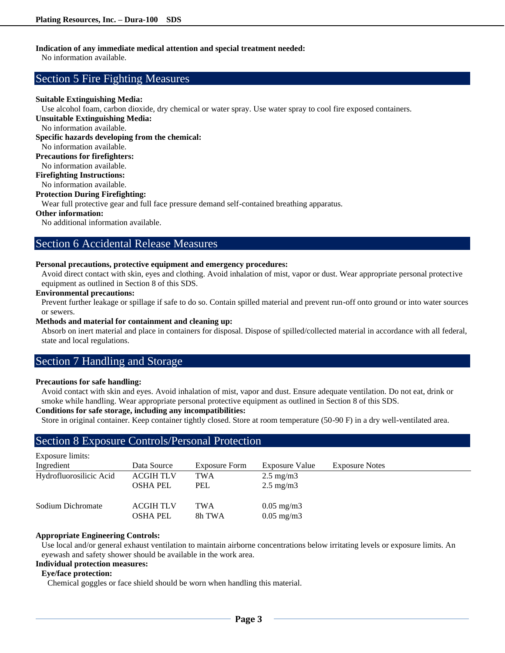## **Indication of any immediate medical attention and special treatment needed:**

No information available.

# Section 5 Fire Fighting Measures

## **Suitable Extinguishing Media:**

Use alcohol foam, carbon dioxide, dry chemical or water spray. Use water spray to cool fire exposed containers.

**Unsuitable Extinguishing Media:**

No information available.

**Specific hazards developing from the chemical:**

No information available.

**Precautions for firefighters:**

No information available.

**Firefighting Instructions:**

No information available.

## **Protection During Firefighting:**

Wear full protective gear and full face pressure demand self-contained breathing apparatus.

## **Other information:**

No additional information available.

## Section 6 Accidental Release Measures

#### **Personal precautions, protective equipment and emergency procedures:**

Avoid direct contact with skin, eyes and clothing. Avoid inhalation of mist, vapor or dust. Wear appropriate personal protective equipment as outlined in Section 8 of this SDS.

#### **Environmental precautions:**

Prevent further leakage or spillage if safe to do so. Contain spilled material and prevent run-off onto ground or into water sources or sewers.

#### **Methods and material for containment and cleaning up:**

Absorb on inert material and place in containers for disposal. Dispose of spilled/collected material in accordance with all federal, state and local regulations.

## Section 7 Handling and Storage

#### **Precautions for safe handling:**

Avoid contact with skin and eyes. Avoid inhalation of mist, vapor and dust. Ensure adequate ventilation. Do not eat, drink or smoke while handling. Wear appropriate personal protective equipment as outlined in Section 8 of this SDS.

## **Conditions for safe storage, including any incompatibilities:**

Store in original container. Keep container tightly closed. Store at room temperature (50-90 F) in a dry well-ventilated area.

# Section 8 Exposure Controls/Personal Protection

| <b>Exposure limits:</b> |                  |                      |                       |                       |
|-------------------------|------------------|----------------------|-----------------------|-----------------------|
| Ingredient              | Data Source      | <b>Exposure Form</b> | Exposure Value        | <b>Exposure Notes</b> |
| Hydrofluorosilicic Acid | <b>ACGIH TLV</b> | <b>TWA</b>           | $2.5 \text{ mg/m}$    |                       |
|                         | <b>OSHA PEL</b>  | <b>PEL</b>           | $2.5 \text{ mg/m}$    |                       |
| Sodium Dichromate       | <b>ACGIH TLV</b> | <b>TWA</b>           | $0.05 \text{ mg/m}$ 3 |                       |
|                         | OSHA PEL         | 8h TWA               | $0.05 \text{ mg/m}$ 3 |                       |

## **Appropriate Engineering Controls:**

Use local and/or general exhaust ventilation to maintain airborne concentrations below irritating levels or exposure limits. An eyewash and safety shower should be available in the work area.

## **Individual protection measures:**

## **Eye/face protection:**

Chemical goggles or face shield should be worn when handling this material.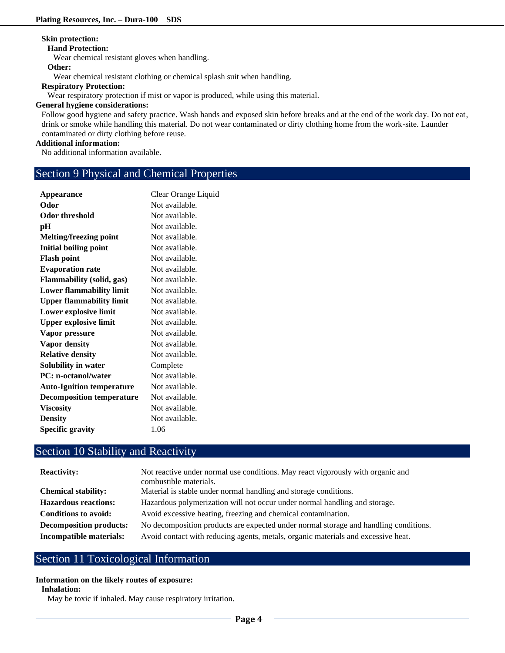## **Skin protection:**

#### **Hand Protection:**

Wear chemical resistant gloves when handling.

## **Other:**

Wear chemical resistant clothing or chemical splash suit when handling.

## **Respiratory Protection:**

Wear respiratory protection if mist or vapor is produced, while using this material.

## **General hygiene considerations:**

Follow good hygiene and safety practice. Wash hands and exposed skin before breaks and at the end of the work day. Do not eat, drink or smoke while handling this material. Do not wear contaminated or dirty clothing home from the work-site. Launder contaminated or dirty clothing before reuse.

### **Additional information:**

No additional information available.

# Section 9 Physical and Chemical Properties

| Appearance                       | Clear Orange Liquid |
|----------------------------------|---------------------|
| Odor                             | Not available.      |
| <b>Odor threshold</b>            | Not available.      |
| pН                               | Not available.      |
| <b>Melting/freezing point</b>    | Not available.      |
| <b>Initial boiling point</b>     | Not available.      |
| <b>Flash point</b>               | Not available.      |
| <b>Evaporation rate</b>          | Not available.      |
| <b>Flammability (solid, gas)</b> | Not available.      |
| <b>Lower flammability limit</b>  | Not available.      |
| <b>Upper flammability limit</b>  | Not available.      |
| Lower explosive limit            | Not available.      |
| <b>Upper explosive limit</b>     | Not available.      |
| Vapor pressure                   | Not available.      |
| Vapor density                    | Not available.      |
| <b>Relative density</b>          | Not available.      |
| Solubility in water              | Complete            |
| <b>PC:</b> n-octanol/water       | Not available.      |
| <b>Auto-Ignition temperature</b> | Not available.      |
| <b>Decomposition temperature</b> | Not available.      |
| <b>Viscosity</b>                 | Not available.      |
| <b>Density</b>                   | Not available.      |
| <b>Specific gravity</b>          | 1.06                |

# Section 10 Stability and Reactivity

| Not reactive under normal use conditions. May react vigorously with organic and<br>combustible materials. |
|-----------------------------------------------------------------------------------------------------------|
| Material is stable under normal handling and storage conditions.                                          |
| Hazardous polymerization will not occur under normal handling and storage.                                |
| Avoid excessive heating, freezing and chemical contamination.                                             |
| No decomposition products are expected under normal storage and handling conditions.                      |
| Avoid contact with reducing agents, metals, organic materials and excessive heat.                         |
|                                                                                                           |

# Section 11 Toxicological Information

## **Information on the likely routes of exposure:**

## **Inhalation:**

May be toxic if inhaled. May cause respiratory irritation.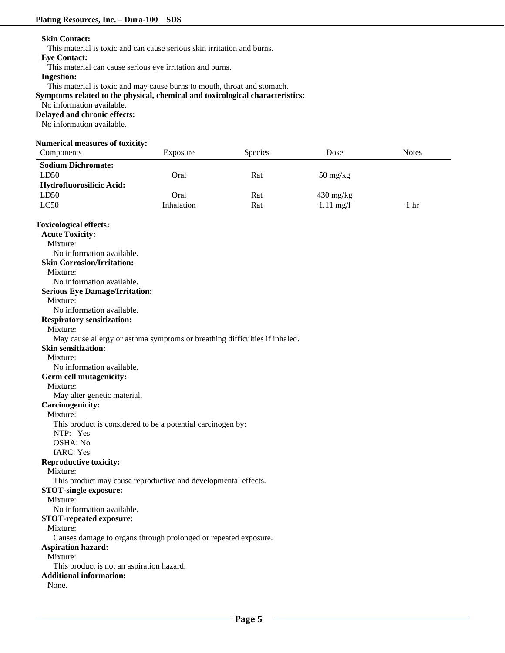### **Skin Contact:**

This material is toxic and can cause serious skin irritation and burns.

#### **Eye Contact:**

This material can cause serious eye irritation and burns.

## **Ingestion:**

This material is toxic and may cause burns to mouth, throat and stomach.

**Symptoms related to the physical, chemical and toxicological characteristics:**

#### No information available.

#### **Delayed and chronic effects:**

No information available.

#### **Numerical measures of toxicity:**

| Components                                                                 | Exposure   | Species | Dose                             | <b>Notes</b>    |
|----------------------------------------------------------------------------|------------|---------|----------------------------------|-----------------|
| <b>Sodium Dichromate:</b>                                                  |            |         |                                  |                 |
| LD50                                                                       | Oral       | Rat     | $50 \frac{\text{mg}}{\text{kg}}$ |                 |
| Hydrofluorosilicic Acid:                                                   |            |         |                                  |                 |
| LD50                                                                       | Oral       | Rat     | $430 \text{ mg/kg}$              |                 |
| LC50                                                                       | Inhalation | Rat     | $1.11 \text{ mg}/1$              | 1 <sub>hr</sub> |
|                                                                            |            |         |                                  |                 |
| <b>Toxicological effects:</b>                                              |            |         |                                  |                 |
| <b>Acute Toxicity:</b>                                                     |            |         |                                  |                 |
| Mixture:                                                                   |            |         |                                  |                 |
| No information available.                                                  |            |         |                                  |                 |
| <b>Skin Corrosion/Irritation:</b>                                          |            |         |                                  |                 |
| Mixture:                                                                   |            |         |                                  |                 |
| No information available.                                                  |            |         |                                  |                 |
| <b>Serious Eye Damage/Irritation:</b>                                      |            |         |                                  |                 |
| Mixture:                                                                   |            |         |                                  |                 |
| No information available.                                                  |            |         |                                  |                 |
| <b>Respiratory sensitization:</b>                                          |            |         |                                  |                 |
| Mixture:                                                                   |            |         |                                  |                 |
| May cause allergy or asthma symptoms or breathing difficulties if inhaled. |            |         |                                  |                 |
| <b>Skin sensitization:</b>                                                 |            |         |                                  |                 |
| Mixture:                                                                   |            |         |                                  |                 |
| No information available.                                                  |            |         |                                  |                 |
| Germ cell mutagenicity:                                                    |            |         |                                  |                 |
| Mixture:                                                                   |            |         |                                  |                 |
| May alter genetic material.                                                |            |         |                                  |                 |
| <b>Carcinogenicity:</b>                                                    |            |         |                                  |                 |
| Mixture:                                                                   |            |         |                                  |                 |
| This product is considered to be a potential carcinogen by:                |            |         |                                  |                 |
| NTP: Yes                                                                   |            |         |                                  |                 |
| OSHA: No                                                                   |            |         |                                  |                 |
| <b>IARC: Yes</b>                                                           |            |         |                                  |                 |
| <b>Reproductive toxicity:</b>                                              |            |         |                                  |                 |
| Mixture:                                                                   |            |         |                                  |                 |
| This product may cause reproductive and developmental effects.             |            |         |                                  |                 |
| <b>STOT-single exposure:</b>                                               |            |         |                                  |                 |
| Mixture:                                                                   |            |         |                                  |                 |
| No information available.                                                  |            |         |                                  |                 |
| <b>STOT-repeated exposure:</b>                                             |            |         |                                  |                 |
| Mixture:                                                                   |            |         |                                  |                 |
| Causes damage to organs through prolonged or repeated exposure.            |            |         |                                  |                 |
| <b>Aspiration hazard:</b>                                                  |            |         |                                  |                 |
| Mixture:                                                                   |            |         |                                  |                 |
| This product is not an aspiration hazard.                                  |            |         |                                  |                 |
| <b>Additional information:</b>                                             |            |         |                                  |                 |
| None.                                                                      |            |         |                                  |                 |
|                                                                            |            |         |                                  |                 |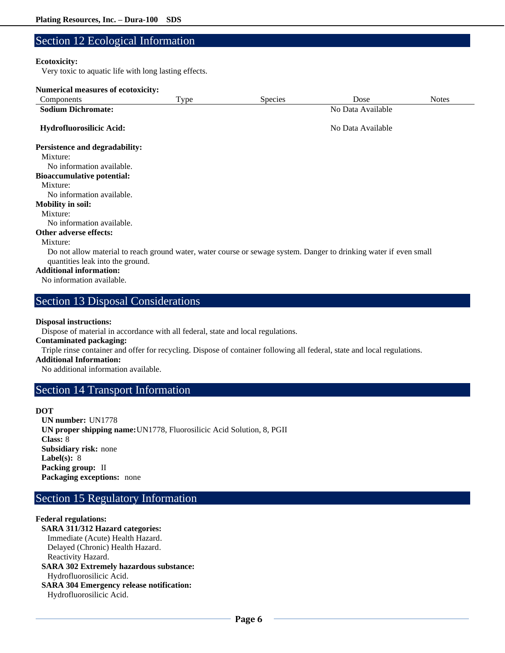# Section 12 Ecological Information

## **Ecotoxicity:**

Very toxic to aquatic life with long lasting effects.

| <b>Numerical measures of ecotoxicity:</b>                                                                                                              |      |                   |                   |              |
|--------------------------------------------------------------------------------------------------------------------------------------------------------|------|-------------------|-------------------|--------------|
| Components                                                                                                                                             | Type | <b>Species</b>    | Dose              | <b>Notes</b> |
| <b>Sodium Dichromate:</b>                                                                                                                              |      | No Data Available |                   |              |
| Hydrofluorosilicic Acid:                                                                                                                               |      |                   | No Data Available |              |
| <b>Persistence and degradability:</b>                                                                                                                  |      |                   |                   |              |
| Mixture:                                                                                                                                               |      |                   |                   |              |
| No information available.                                                                                                                              |      |                   |                   |              |
| <b>Bioaccumulative potential:</b>                                                                                                                      |      |                   |                   |              |
| Mixture:                                                                                                                                               |      |                   |                   |              |
| No information available.                                                                                                                              |      |                   |                   |              |
| <b>Mobility in soil:</b>                                                                                                                               |      |                   |                   |              |
| Mixture:                                                                                                                                               |      |                   |                   |              |
| No information available.                                                                                                                              |      |                   |                   |              |
| <b>Other adverse effects:</b>                                                                                                                          |      |                   |                   |              |
| Mixture:                                                                                                                                               |      |                   |                   |              |
| Do not allow material to reach ground water, water course or sewage system. Danger to drinking water if even small<br>quantities leak into the ground. |      |                   |                   |              |
| <b>Additional information:</b>                                                                                                                         |      |                   |                   |              |
| No information available.                                                                                                                              |      |                   |                   |              |

# Section 13 Disposal Considerations

## **Disposal instructions:**

Dispose of material in accordance with all federal, state and local regulations.

## **Contaminated packaging:**

Triple rinse container and offer for recycling. Dispose of container following all federal, state and local regulations.

## **Additional Information:**

No additional information available.

## Section 14 Transport Information

#### **DOT**

**UN number:** UN1778 **UN proper shipping name:**UN1778, Fluorosilicic Acid Solution, 8, PGII **Class:** 8 **Subsidiary risk:** none **Label(s):** 8 **Packing group:** II **Packaging exceptions:** none

# Section 15 Regulatory Information

## **Federal regulations:**

**SARA 311/312 Hazard categories:**  Immediate (Acute) Health Hazard. Delayed (Chronic) Health Hazard. Reactivity Hazard. **SARA 302 Extremely hazardous substance:** Hydrofluorosilicic Acid. **SARA 304 Emergency release notification:** Hydrofluorosilicic Acid.